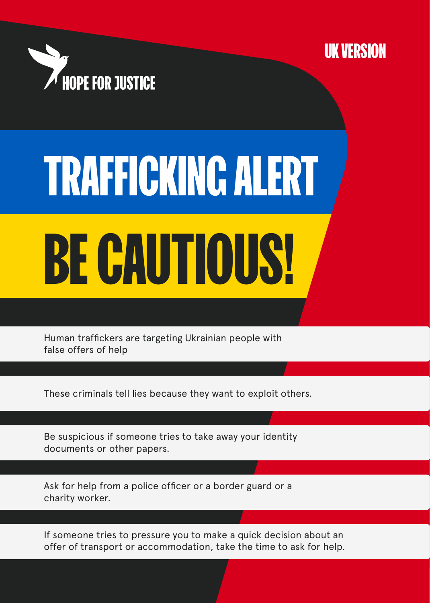



## BE CAUTIOUS! TRAFFICKING ALERT

Human traffickers are targeting Ukrainian people with false offers of help

These criminals tell lies because they want to exploit others.

Be suspicious if someone tries to take away your identity documents or other papers.

Ask for help from a police officer or a border guard or a charity worker.

If someone tries to pressure you to make a quick decision about an offer of transport or accommodation, take the time to ask for help.